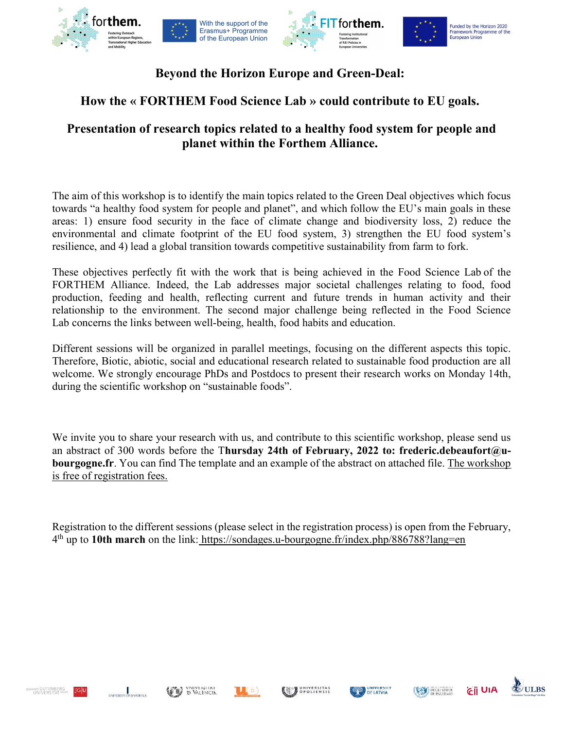

## Beyond the Horizon Europe and Green-Deal:

# How the « FORTHEM Food Science Lab » could contribute to EU goals.

## Presentation of research topics related to a healthy food system for people and planet within the Forthem Alliance.

The aim of this workshop is to identify the main topics related to the Green Deal objectives which focus towards "a healthy food system for people and planet", and which follow the EU's main goals in these areas: 1) ensure food security in the face of climate change and biodiversity loss, 2) reduce the environmental and climate footprint of the EU food system, 3) strengthen the EU food system's resilience, and 4) lead a global transition towards competitive sustainability from farm to fork.

These objectives perfectly fit with the work that is being achieved in the Food Science Lab of the FORTHEM Alliance. Indeed, the Lab addresses major societal challenges relating to food, food production, feeding and health, reflecting current and future trends in human activity and their relationship to the environment. The second major challenge being reflected in the Food Science Lab concerns the links between well-being, health, food habits and education.

Different sessions will be organized in parallel meetings, focusing on the different aspects this topic. Therefore, Biotic, abiotic, social and educational research related to sustainable food production are all welcome. We strongly encourage PhDs and Postdocs to present their research works on Monday 14th, during the scientific workshop on "sustainable foods".

We invite you to share your research with us, and contribute to this scientific workshop, please send us an abstract of 300 words before the Thursday 24th of February, 2022 to: frederic.debeaufort@ubourgogne.fr. You can find The template and an example of the abstract on attached file. The workshop is free of registration fees.

Registration to the different sessions (please select in the registration process) is open from the February, 4<sup>th</sup> up to 10th march on the link: https://sondages.u-bourgogne.fr/index.php/886788?lang=en









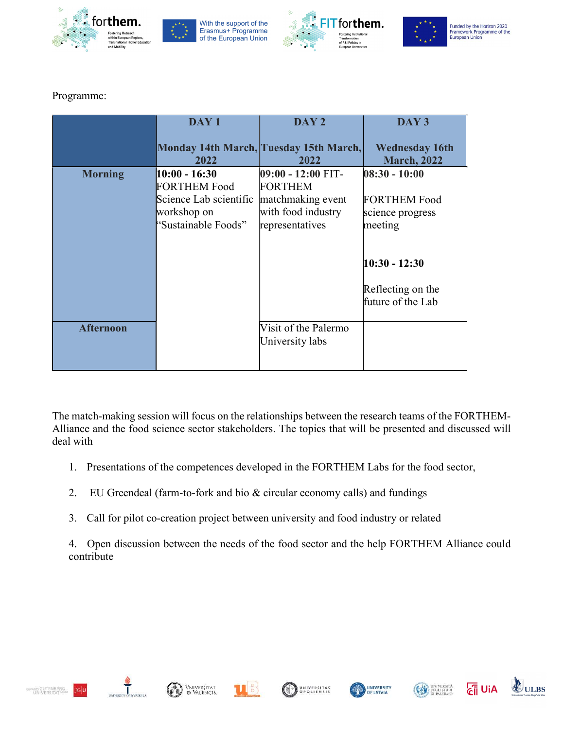









#### Programme:

|                  | DAY <sub>1</sub>                                                                                       | DAY <sub>2</sub>                                                                                   | DAY <sub>3</sub>                                                      |
|------------------|--------------------------------------------------------------------------------------------------------|----------------------------------------------------------------------------------------------------|-----------------------------------------------------------------------|
|                  | 2022                                                                                                   | Monday 14th March, Tuesday 15th March,<br>2022                                                     | <b>Wednesday 16th</b><br><b>March, 2022</b>                           |
| <b>Morning</b>   | $10:00 - 16:30$<br><b>FORTHEM Food</b><br>Science Lab scientific<br>workshop on<br>"Sustainable Foods" | 09:00 - 12:00 FIT-<br><b>FORTHEM</b><br>matchmaking event<br>with food industry<br>representatives | $08:30 - 10:00$<br><b>FORTHEM Food</b><br>science progress<br>meeting |
|                  |                                                                                                        |                                                                                                    | $10:30 - 12:30$<br>Reflecting on the<br>future of the Lab             |
| <b>Afternoon</b> |                                                                                                        | Visit of the Palermo<br>University labs                                                            |                                                                       |

The match-making session will focus on the relationships between the research teams of the FORTHEM-Alliance and the food science sector stakeholders. The topics that will be presented and discussed will deal with

- 1. Presentations of the competences developed in the FORTHEM Labs for the food sector,
- 2. EU Greendeal (farm-to-fork and bio & circular economy calls) and fundings
- 3. Call for pilot co-creation project between university and food industry or related

4. Open discussion between the needs of the food sector and the help FORTHEM Alliance could contribute